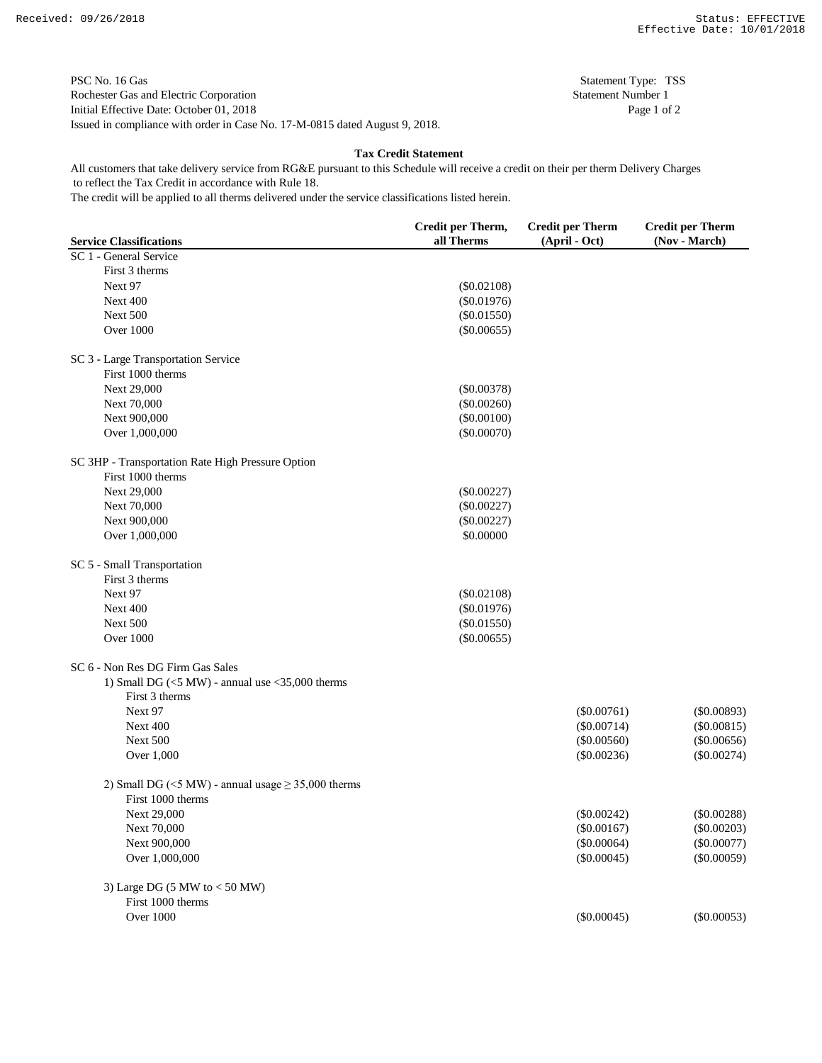PSC No. 16 Gas Statement Type: TSS Rochester Gas and Electric Corporation Statement Number 1 Initial Effective Date: October 01, 2018 Page 1 of 2 Issued in compliance with order in Case No. 17-M-0815 dated August 9, 2018.

**Tax Credit Statement**

 to reflect the Tax Credit in accordance with Rule 18. All customers that take delivery service from RG&E pursuant to this Schedule will receive a credit on their per therm Delivery Charges

The credit will be applied to all therms delivered under the service classifications listed herein.

|                                                                | Credit per Therm, | <b>Credit per Therm</b> | <b>Credit per Therm</b> |
|----------------------------------------------------------------|-------------------|-------------------------|-------------------------|
| <b>Service Classifications</b>                                 | all Therms        | (April - Oct)           | (Nov - March)           |
| SC 1 - General Service                                         |                   |                         |                         |
| First 3 therms                                                 |                   |                         |                         |
| Next 97                                                        | $(\$0.02108)$     |                         |                         |
| Next 400                                                       | $(\$0.01976)$     |                         |                         |
| <b>Next 500</b>                                                | $(\$0.01550)$     |                         |                         |
| <b>Over 1000</b>                                               | $(\$0.00655)$     |                         |                         |
| SC 3 - Large Transportation Service                            |                   |                         |                         |
| First 1000 therms                                              |                   |                         |                         |
| Next 29,000                                                    | $(\$0.00378)$     |                         |                         |
| Next 70,000                                                    | $(\$0.00260)$     |                         |                         |
| Next 900,000                                                   | $(\$0.00100)$     |                         |                         |
| Over 1,000,000                                                 | $(\$0.00070)$     |                         |                         |
| SC 3HP - Transportation Rate High Pressure Option              |                   |                         |                         |
| First 1000 therms                                              |                   |                         |                         |
| Next 29,000                                                    | $(\$0.00227)$     |                         |                         |
| Next 70,000                                                    | $(\$0.00227)$     |                         |                         |
| Next 900,000                                                   | $(\$0.00227)$     |                         |                         |
| Over 1,000,000                                                 | \$0.00000         |                         |                         |
| SC 5 - Small Transportation                                    |                   |                         |                         |
| First 3 therms                                                 |                   |                         |                         |
| Next 97                                                        | $(\$0.02108)$     |                         |                         |
| Next 400                                                       | $(\$0.01976)$     |                         |                         |
| Next 500                                                       | $(\$0.01550)$     |                         |                         |
| <b>Over 1000</b>                                               | $(\$0.00655)$     |                         |                         |
| SC 6 - Non Res DG Firm Gas Sales                               |                   |                         |                         |
| 1) Small DG $(<5 MW)$ - annual use $<$ 35,000 therms           |                   |                         |                         |
| First 3 therms                                                 |                   |                         |                         |
| Next 97                                                        |                   | $(\$0.00761)$           | $(\$0.00893)$           |
| Next 400                                                       |                   | $(\$0.00714)$           | $(\$0.00815)$           |
| Next 500                                                       |                   | (\$0.00560)             | (\$0.00656)             |
| Over 1,000                                                     |                   | $(\$0.00236)$           | $(\$0.00274)$           |
| 2) Small DG ( $\leq$ 5 MW) - annual usage $\geq$ 35,000 therms |                   |                         |                         |
| First 1000 therms                                              |                   |                         |                         |
| Next 29,000                                                    |                   | $(\$0.00242)$           | $(\$0.00288)$           |
| Next 70,000                                                    |                   | $(\$0.00167)$           | $(\$0.00203)$           |
| Next 900,000                                                   |                   | (\$0.00064)             | $(\$0.00077)$           |
| Over 1,000,000                                                 |                   | $(\$0.00045)$           | $(\$0.00059)$           |
| 3) Large DG $(5 MW to < 50 MW)$                                |                   |                         |                         |
| First 1000 therms                                              |                   |                         |                         |
| <b>Over 1000</b>                                               |                   | $(\$0.00045)$           | $(\$0.00053)$           |